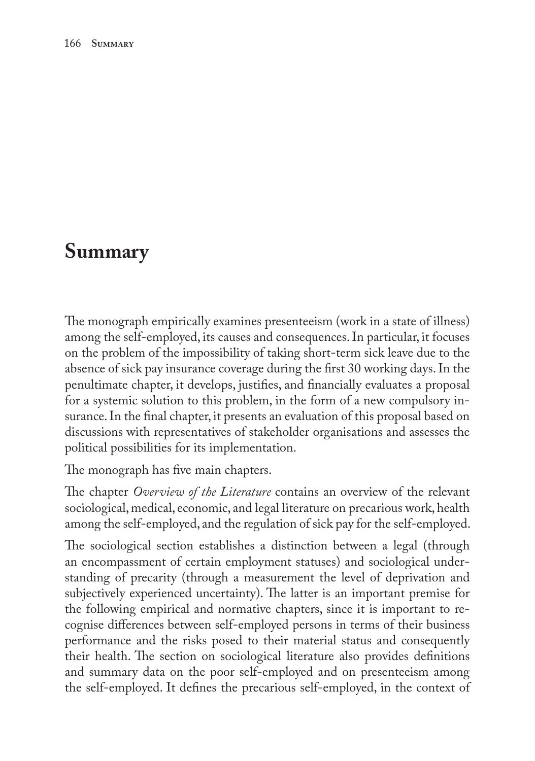## **Summary**

The monograph empirically examines presenteeism (work in a state of illness) among the self-employed, its causes and consequences. In particular, it focuses on the problem of the impossibility of taking short-term sick leave due to the absence of sick pay insurance coverage during the first 30 working days. In the penultimate chapter, it develops, justifies, and financially evaluates a proposal for a systemic solution to this problem, in the form of a new compulsory insurance. In the final chapter, it presents an evaluation of this proposal based on discussions with representatives of stakeholder organisations and assesses the political possibilities for its implementation.

The monograph has five main chapters.

The chapter *Overview of the Literature* contains an overview of the relevant sociological, medical, economic, and legal literature on precarious work, health among the self-employed, and the regulation of sick pay for the self-employed.

The sociological section establishes a distinction between a legal (through an encompassment of certain employment statuses) and sociological understanding of precarity (through a measurement the level of deprivation and subjectively experienced uncertainty). The latter is an important premise for the following empirical and normative chapters, since it is important to recognise differences between self-employed persons in terms of their business performance and the risks posed to their material status and consequently their health. The section on sociological literature also provides definitions and summary data on the poor self-employed and on presenteeism among the self-employed. It defines the precarious self-employed, in the context of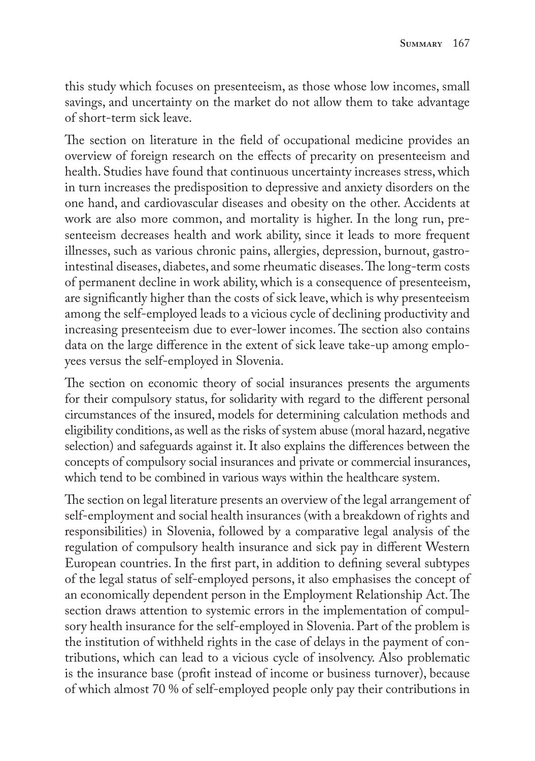this study which focuses on presenteeism, as those whose low incomes, small savings, and uncertainty on the market do not allow them to take advantage of short-term sick leave.

The section on literature in the field of occupational medicine provides an overview of foreign research on the effects of precarity on presenteeism and health. Studies have found that continuous uncertainty increases stress, which in turn increases the predisposition to depressive and anxiety disorders on the one hand, and cardiovascular diseases and obesity on the other. Accidents at work are also more common, and mortality is higher. In the long run, presenteeism decreases health and work ability, since it leads to more frequent illnesses, such as various chronic pains, allergies, depression, burnout, gastrointestinal diseases, diabetes, and some rheumatic diseases. The long-term costs of permanent decline in work ability, which is a consequence of presenteeism, are significantly higher than the costs of sick leave, which is why presenteeism among the self-employed leads to a vicious cycle of declining productivity and increasing presenteeism due to ever-lower incomes. The section also contains data on the large difference in the extent of sick leave take-up among employees versus the self-employed in Slovenia.

The section on economic theory of social insurances presents the arguments for their compulsory status, for solidarity with regard to the different personal circumstances of the insured, models for determining calculation methods and eligibility conditions, as well as the risks of system abuse (moral hazard, negative selection) and safeguards against it. It also explains the differences between the concepts of compulsory social insurances and private or commercial insurances, which tend to be combined in various ways within the healthcare system.

The section on legal literature presents an overview of the legal arrangement of self-employment and social health insurances (with a breakdown of rights and responsibilities) in Slovenia, followed by a comparative legal analysis of the regulation of compulsory health insurance and sick pay in different Western European countries. In the first part, in addition to defining several subtypes of the legal status of self-employed persons, it also emphasises the concept of an economically dependent person in the Employment Relationship Act. The section draws attention to systemic errors in the implementation of compulsory health insurance for the self-employed in Slovenia. Part of the problem is the institution of withheld rights in the case of delays in the payment of contributions, which can lead to a vicious cycle of insolvency. Also problematic is the insurance base (profit instead of income or business turnover), because of which almost 70 % of self-employed people only pay their contributions in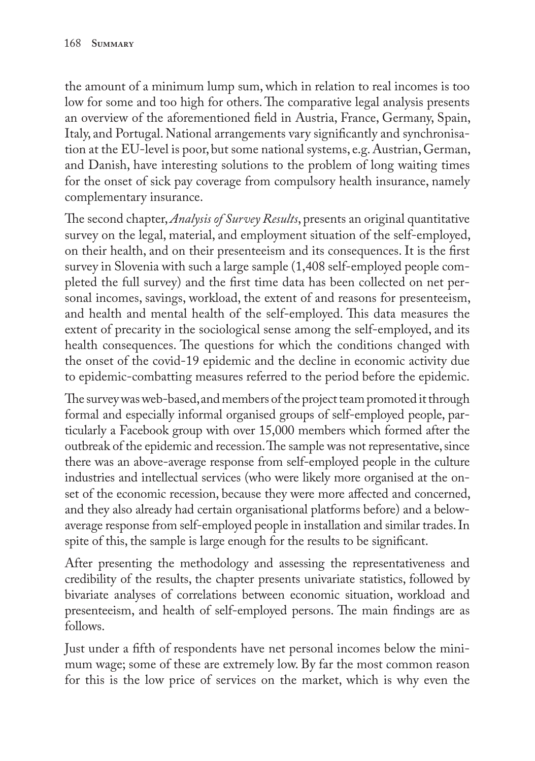the amount of a minimum lump sum, which in relation to real incomes is too low for some and too high for others. The comparative legal analysis presents an overview of the aforementioned field in Austria, France, Germany, Spain, Italy, and Portugal. National arrangements vary significantly and synchronisation at the EU-level is poor, but some national systems, e.g. Austrian, German, and Danish, have interesting solutions to the problem of long waiting times for the onset of sick pay coverage from compulsory health insurance, namely complementary insurance.

The second chapter, *Analysis of Survey Results*, presents an original quantitative survey on the legal, material, and employment situation of the self-employed, on their health, and on their presenteeism and its consequences. It is the first survey in Slovenia with such a large sample (1,408 self-employed people completed the full survey) and the first time data has been collected on net personal incomes, savings, workload, the extent of and reasons for presenteeism, and health and mental health of the self-employed. This data measures the extent of precarity in the sociological sense among the self-employed, and its health consequences. The questions for which the conditions changed with the onset of the covid-19 epidemic and the decline in economic activity due to epidemic-combatting measures referred to the period before the epidemic.

The survey was web-based, and members of the project team promoted it through formal and especially informal organised groups of self-employed people, particularly a Facebook group with over 15,000 members which formed after the outbreak of the epidemic and recession. The sample was not representative, since there was an above-average response from self-employed people in the culture industries and intellectual services (who were likely more organised at the onset of the economic recession, because they were more affected and concerned, and they also already had certain organisational platforms before) and a belowaverage response from self-employed people in installation and similar trades. In spite of this, the sample is large enough for the results to be significant.

After presenting the methodology and assessing the representativeness and credibility of the results, the chapter presents univariate statistics, followed by bivariate analyses of correlations between economic situation, workload and presenteeism, and health of self-employed persons. The main findings are as follows.

Just under a fifth of respondents have net personal incomes below the minimum wage; some of these are extremely low. By far the most common reason for this is the low price of services on the market, which is why even the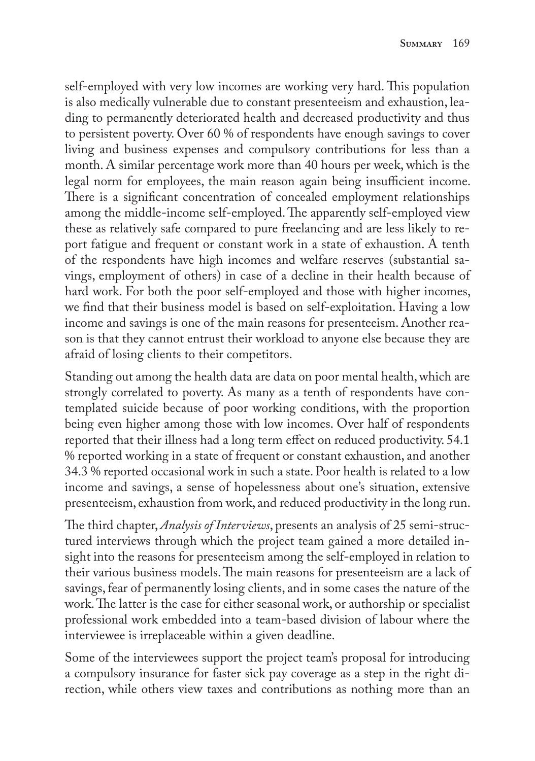self-employed with very low incomes are working very hard. This population is also medically vulnerable due to constant presenteeism and exhaustion, leading to permanently deteriorated health and decreased productivity and thus to persistent poverty. Over 60 % of respondents have enough savings to cover living and business expenses and compulsory contributions for less than a month. A similar percentage work more than 40 hours per week, which is the legal norm for employees, the main reason again being insufficient income. There is a significant concentration of concealed employment relationships among the middle-income self-employed. The apparently self-employed view these as relatively safe compared to pure freelancing and are less likely to report fatigue and frequent or constant work in a state of exhaustion. A tenth of the respondents have high incomes and welfare reserves (substantial savings, employment of others) in case of a decline in their health because of hard work. For both the poor self-employed and those with higher incomes, we find that their business model is based on self-exploitation. Having a low income and savings is one of the main reasons for presenteeism. Another reason is that they cannot entrust their workload to anyone else because they are afraid of losing clients to their competitors.

Standing out among the health data are data on poor mental health, which are strongly correlated to poverty. As many as a tenth of respondents have contemplated suicide because of poor working conditions, with the proportion being even higher among those with low incomes. Over half of respondents reported that their illness had a long term effect on reduced productivity. 54.1 % reported working in a state of frequent or constant exhaustion, and another 34.3 % reported occasional work in such a state. Poor health is related to a low income and savings, a sense of hopelessness about one's situation, extensive presenteeism, exhaustion from work, and reduced productivity in the long run.

The third chapter, *Analysis of Interviews*, presents an analysis of 25 semi-structured interviews through which the project team gained a more detailed insight into the reasons for presenteeism among the self-employed in relation to their various business models. The main reasons for presenteeism are a lack of savings, fear of permanently losing clients, and in some cases the nature of the work. The latter is the case for either seasonal work, or authorship or specialist professional work embedded into a team-based division of labour where the interviewee is irreplaceable within a given deadline.

Some of the interviewees support the project team's proposal for introducing a compulsory insurance for faster sick pay coverage as a step in the right direction, while others view taxes and contributions as nothing more than an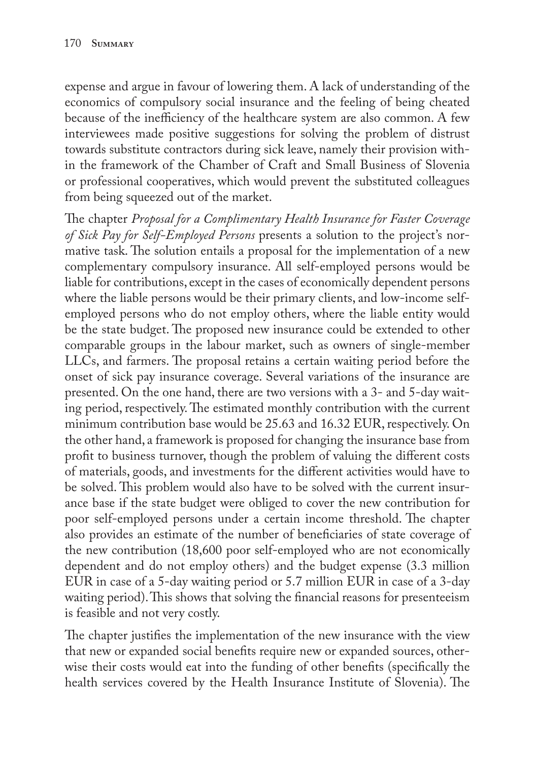expense and argue in favour of lowering them. A lack of understanding of the economics of compulsory social insurance and the feeling of being cheated because of the inefficiency of the healthcare system are also common. A few interviewees made positive suggestions for solving the problem of distrust towards substitute contractors during sick leave, namely their provision within the framework of the Chamber of Craft and Small Business of Slovenia or professional cooperatives, which would prevent the substituted colleagues from being squeezed out of the market.

The chapter *Proposal for a Complimentary Health Insurance for Faster Coverage of Sick Pay for Self-Employed Persons* presents a solution to the project's normative task. The solution entails a proposal for the implementation of a new complementary compulsory insurance. All self-employed persons would be liable for contributions, except in the cases of economically dependent persons where the liable persons would be their primary clients, and low-income selfemployed persons who do not employ others, where the liable entity would be the state budget. The proposed new insurance could be extended to other comparable groups in the labour market, such as owners of single-member LLCs, and farmers. The proposal retains a certain waiting period before the onset of sick pay insurance coverage. Several variations of the insurance are presented. On the one hand, there are two versions with a 3- and 5-day waiting period, respectively. The estimated monthly contribution with the current minimum contribution base would be 25.63 and 16.32 EUR, respectively. On the other hand, a framework is proposed for changing the insurance base from profit to business turnover, though the problem of valuing the different costs of materials, goods, and investments for the different activities would have to be solved. This problem would also have to be solved with the current insurance base if the state budget were obliged to cover the new contribution for poor self-employed persons under a certain income threshold. The chapter also provides an estimate of the number of beneficiaries of state coverage of the new contribution (18,600 poor self-employed who are not economically dependent and do not employ others) and the budget expense (3.3 million EUR in case of a 5-day waiting period or 5.7 million EUR in case of a 3-day waiting period). This shows that solving the financial reasons for presenteeism is feasible and not very costly.

The chapter justifies the implementation of the new insurance with the view that new or expanded social benefits require new or expanded sources, otherwise their costs would eat into the funding of other benefits (specifically the health services covered by the Health Insurance Institute of Slovenia). The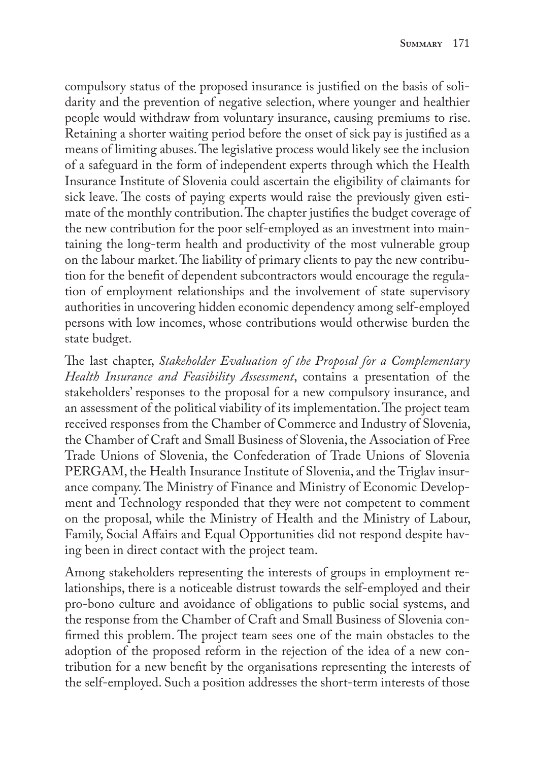compulsory status of the proposed insurance is justified on the basis of solidarity and the prevention of negative selection, where younger and healthier people would withdraw from voluntary insurance, causing premiums to rise. Retaining a shorter waiting period before the onset of sick pay is justified as a means of limiting abuses. The legislative process would likely see the inclusion of a safeguard in the form of independent experts through which the Health Insurance Institute of Slovenia could ascertain the eligibility of claimants for sick leave. The costs of paying experts would raise the previously given estimate of the monthly contribution. The chapter justifies the budget coverage of the new contribution for the poor self-employed as an investment into maintaining the long-term health and productivity of the most vulnerable group on the labour market. The liability of primary clients to pay the new contribution for the benefit of dependent subcontractors would encourage the regulation of employment relationships and the involvement of state supervisory authorities in uncovering hidden economic dependency among self-employed persons with low incomes, whose contributions would otherwise burden the state budget.

The last chapter, *Stakeholder Evaluation of the Proposal for a Complementary Health Insurance and Feasibility Assessment*, contains a presentation of the stakeholders' responses to the proposal for a new compulsory insurance, and an assessment of the political viability of its implementation. The project team received responses from the Chamber of Commerce and Industry of Slovenia, the Chamber of Craft and Small Business of Slovenia, the Association of Free Trade Unions of Slovenia, the Confederation of Trade Unions of Slovenia PERGAM, the Health Insurance Institute of Slovenia, and the Triglav insurance company. The Ministry of Finance and Ministry of Economic Development and Technology responded that they were not competent to comment on the proposal, while the Ministry of Health and the Ministry of Labour, Family, Social Affairs and Equal Opportunities did not respond despite having been in direct contact with the project team.

Among stakeholders representing the interests of groups in employment relationships, there is a noticeable distrust towards the self-employed and their pro-bono culture and avoidance of obligations to public social systems, and the response from the Chamber of Craft and Small Business of Slovenia confirmed this problem. The project team sees one of the main obstacles to the adoption of the proposed reform in the rejection of the idea of a new contribution for a new benefit by the organisations representing the interests of the self-employed. Such a position addresses the short-term interests of those